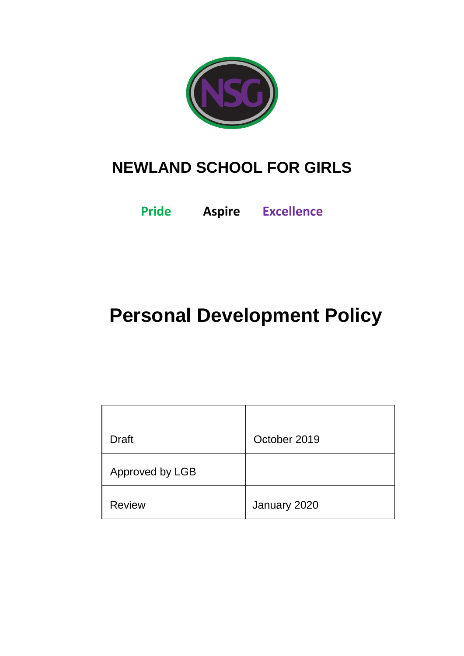

# **NEWLAND SCHOOL FOR GIRLS**

**Pride Aspire Excellence**

# **Personal Development Policy**

| <b>Draft</b>    | October 2019 |
|-----------------|--------------|
| Approved by LGB |              |
| <b>Review</b>   | January 2020 |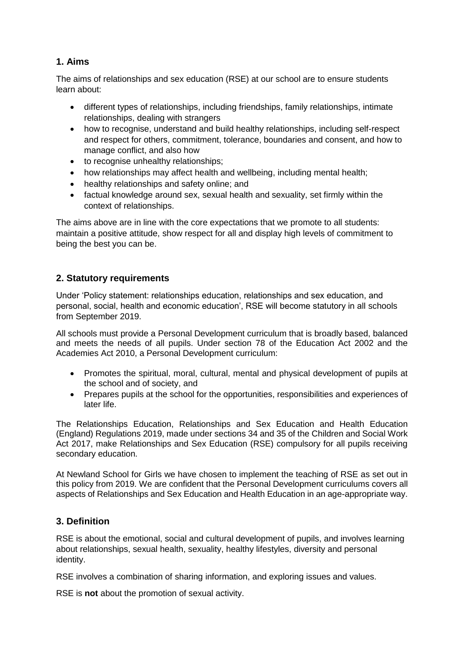# **1. Aims**

The aims of relationships and sex education (RSE) at our school are to ensure students learn about:

- different types of relationships, including friendships, family relationships, intimate relationships, dealing with strangers
- how to recognise, understand and build healthy relationships, including self-respect and respect for others, commitment, tolerance, boundaries and consent, and how to manage conflict, and also how
- to recognise unhealthy relationships:
- how relationships may affect health and wellbeing, including mental health;
- healthy relationships and safety online; and
- factual knowledge around sex, sexual health and sexuality, set firmly within the context of relationships.

The aims above are in line with the core expectations that we promote to all students: maintain a positive attitude, show respect for all and display high levels of commitment to being the best you can be.

# **2. Statutory requirements**

Under 'Policy statement: relationships education, relationships and sex education, and personal, social, health and economic education', RSE will become statutory in all schools from September 2019.

All schools must provide a Personal Development curriculum that is broadly based, balanced and meets the needs of all pupils. Under section 78 of the Education Act 2002 and the Academies Act 2010, a Personal Development curriculum:

- Promotes the spiritual, moral, cultural, mental and physical development of pupils at the school and of society, and
- Prepares pupils at the school for the opportunities, responsibilities and experiences of later life.

The Relationships Education, Relationships and Sex Education and Health Education (England) Regulations 2019, made under sections 34 and 35 of the Children and Social Work Act 2017, make Relationships and Sex Education (RSE) compulsory for all pupils receiving secondary education.

At Newland School for Girls we have chosen to implement the teaching of RSE as set out in this policy from 2019. We are confident that the Personal Development curriculums covers all aspects of Relationships and Sex Education and Health Education in an age-appropriate way.

# **3. Definition**

RSE is about the emotional, social and cultural development of pupils, and involves learning about relationships, sexual health, sexuality, healthy lifestyles, diversity and personal identity.

RSE involves a combination of sharing information, and exploring issues and values.

RSE is **not** about the promotion of sexual activity.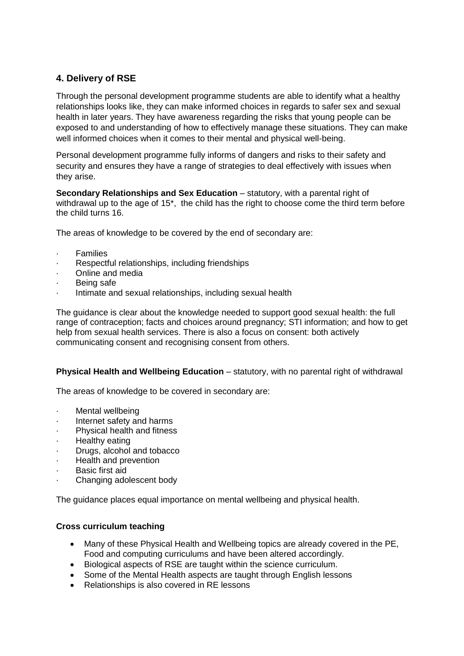# **4. Delivery of RSE**

Through the personal development programme students are able to identify what a healthy relationships looks like, they can make informed choices in regards to safer sex and sexual health in later years. They have awareness regarding the risks that young people can be exposed to and understanding of how to effectively manage these situations. They can make well informed choices when it comes to their mental and physical well-being.

Personal development programme fully informs of dangers and risks to their safety and security and ensures they have a range of strategies to deal effectively with issues when they arise.

**Secondary Relationships and Sex Education** – statutory, with a parental right of withdrawal up to the age of 15\*, the child has the right to choose come the third term before the child turns 16.

The areas of knowledge to be covered by the end of secondary are:

- **Families**
- Respectful relationships, including friendships
- · Online and media
- Being safe
- Intimate and sexual relationships, including sexual health

The guidance is clear about the knowledge needed to support good sexual health: the full range of contraception; facts and choices around pregnancy; STI information; and how to get help from sexual health services. There is also a focus on consent: both actively communicating consent and recognising consent from others.

### **Physical Health and Wellbeing Education** – statutory, with no parental right of withdrawal

The areas of knowledge to be covered in secondary are:

- Mental wellbeing
- Internet safety and harms
- Physical health and fitness
- **Healthy eating**
- Drugs, alcohol and tobacco
- Health and prevention
- Basic first aid
- Changing adolescent body

The guidance places equal importance on mental wellbeing and physical health.

### **Cross curriculum teaching**

- Many of these Physical Health and Wellbeing topics are already covered in the PE, Food and computing curriculums and have been altered accordingly.
- Biological aspects of RSE are taught within the science curriculum.
- Some of the Mental Health aspects are taught through English lessons
- Relationships is also covered in RE lessons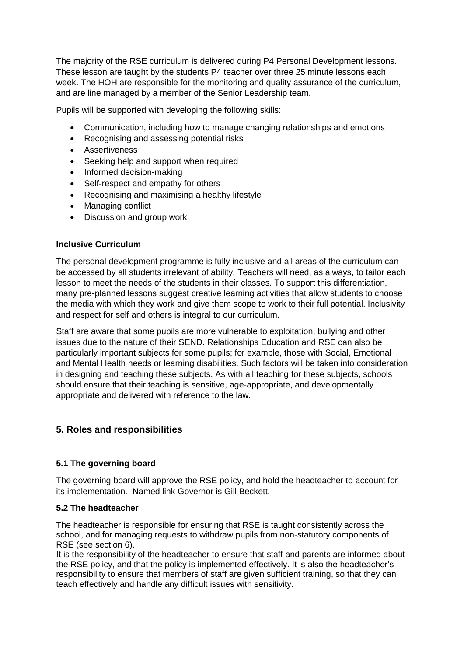The majority of the RSE curriculum is delivered during P4 Personal Development lessons. These lesson are taught by the students P4 teacher over three 25 minute lessons each week. The HOH are responsible for the monitoring and quality assurance of the curriculum, and are line managed by a member of the Senior Leadership team.

Pupils will be supported with developing the following skills:

- Communication, including how to manage changing relationships and emotions
- Recognising and assessing potential risks
- Assertiveness
- Seeking help and support when required
- Informed decision-making
- Self-respect and empathy for others
- Recognising and maximising a healthy lifestyle
- Managing conflict
- Discussion and group work

### **Inclusive Curriculum**

The personal development programme is fully inclusive and all areas of the curriculum can be accessed by all students irrelevant of ability. Teachers will need, as always, to tailor each lesson to meet the needs of the students in their classes. To support this differentiation, many pre-planned lessons suggest creative learning activities that allow students to choose the media with which they work and give them scope to work to their full potential. Inclusivity and respect for self and others is integral to our curriculum.

Staff are aware that some pupils are more vulnerable to exploitation, bullying and other issues due to the nature of their SEND. Relationships Education and RSE can also be particularly important subjects for some pupils; for example, those with Social, Emotional and Mental Health needs or learning disabilities. Such factors will be taken into consideration in designing and teaching these subjects. As with all teaching for these subjects, schools should ensure that their teaching is sensitive, age-appropriate, and developmentally appropriate and delivered with reference to the law.

# **5. Roles and responsibilities**

### **5.1 The governing board**

The governing board will approve the RSE policy, and hold the headteacher to account for its implementation. Named link Governor is Gill Beckett.

## **5.2 The headteacher**

The headteacher is responsible for ensuring that RSE is taught consistently across the school, and for managing requests to withdraw pupils from non-statutory components of RSE (see section 6).

It is the responsibility of the headteacher to ensure that staff and parents are informed about the RSE policy, and that the policy is implemented effectively. It is also the headteacher's responsibility to ensure that members of staff are given sufficient training, so that they can teach effectively and handle any difficult issues with sensitivity.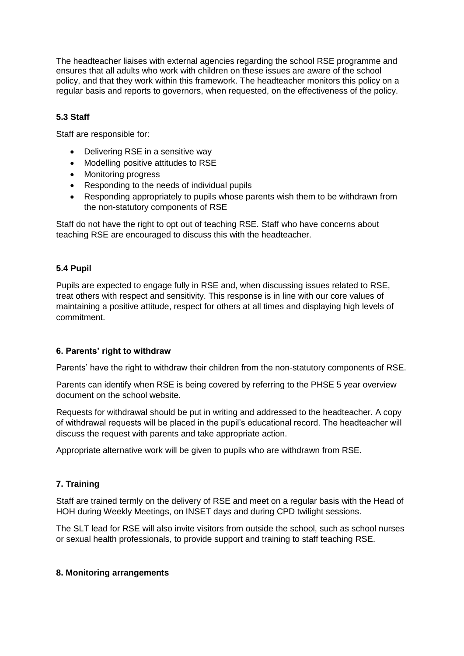The headteacher liaises with external agencies regarding the school RSE programme and ensures that all adults who work with children on these issues are aware of the school policy, and that they work within this framework. The headteacher monitors this policy on a regular basis and reports to governors, when requested, on the effectiveness of the policy.

# **5.3 Staff**

Staff are responsible for:

- Delivering RSE in a sensitive way
- Modelling positive attitudes to RSE
- Monitoring progress
- Responding to the needs of individual pupils
- Responding appropriately to pupils whose parents wish them to be withdrawn from the non-statutory components of RSE

Staff do not have the right to opt out of teaching RSE. Staff who have concerns about teaching RSE are encouraged to discuss this with the headteacher.

### **5.4 Pupil**

Pupils are expected to engage fully in RSE and, when discussing issues related to RSE, treat others with respect and sensitivity. This response is in line with our core values of maintaining a positive attitude, respect for others at all times and displaying high levels of commitment.

### **6. Parents' right to withdraw**

Parents' have the right to withdraw their children from the non-statutory components of RSE.

Parents can identify when RSE is being covered by referring to the PHSE 5 year overview document on the school website.

Requests for withdrawal should be put in writing and addressed to the headteacher. A copy of withdrawal requests will be placed in the pupil's educational record. The headteacher will discuss the request with parents and take appropriate action.

Appropriate alternative work will be given to pupils who are withdrawn from RSE.

### **7. Training**

Staff are trained termly on the delivery of RSE and meet on a regular basis with the Head of HOH during Weekly Meetings, on INSET days and during CPD twilight sessions.

The SLT lead for RSE will also invite visitors from outside the school, such as school nurses or sexual health professionals, to provide support and training to staff teaching RSE.

#### **8. Monitoring arrangements**